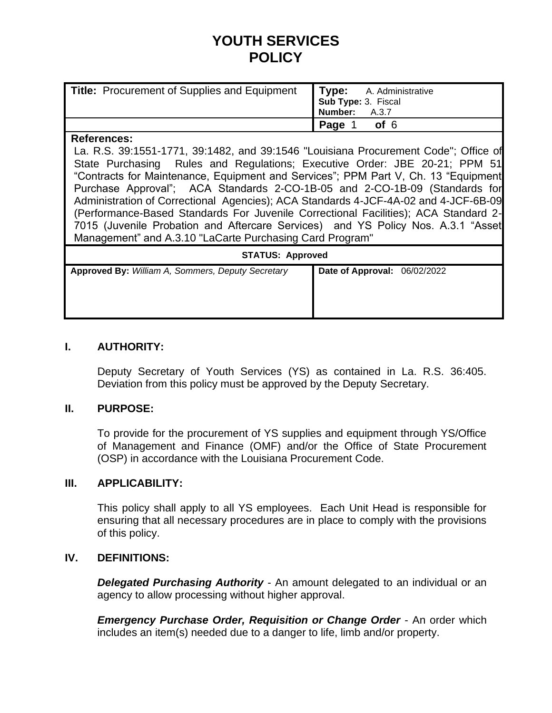# **YOUTH SERVICES POLICY**

| <b>Title: Procurement of Supplies and Equipment</b> | <b>Type:</b> A. Administrative<br>Sub Type: 3. Fiscal<br>Number: A.3.7 |
|-----------------------------------------------------|------------------------------------------------------------------------|
|                                                     | Page 1<br>of 6                                                         |

#### **References:**

La. R.S. 39:1551-1771, 39:1482, and 39:1546 "Louisiana Procurement Code"; Office of State Purchasing Rules and Regulations; Executive Order: JBE 20-21; PPM 51 "Contracts for Maintenance, Equipment and Services"; PPM Part V, Ch. 13 "Equipment Purchase Approval"; ACA Standards 2-CO-1B-05 and 2-CO-1B-09 (Standards for Administration of Correctional Agencies); ACA Standards 4-JCF-4A-02 and 4-JCF-6B-09 (Performance-Based Standards For Juvenile Correctional Facilities); ACA Standard 2- 7015 (Juvenile Probation and Aftercare Services) and YS Policy Nos. A.3.1 "Asset Management" and A.3.10 "LaCarte Purchasing Card Program"

| <b>STATUS: Approved</b>                           |                              |  |
|---------------------------------------------------|------------------------------|--|
| Approved By: William A, Sommers, Deputy Secretary | Date of Approval: 06/02/2022 |  |

## **I. AUTHORITY:**

Deputy Secretary of Youth Services (YS) as contained in La. R.S. 36:405. Deviation from this policy must be approved by the Deputy Secretary.

### **II. PURPOSE:**

To provide for the procurement of YS supplies and equipment through YS/Office of Management and Finance (OMF) and/or the Office of State Procurement (OSP) in accordance with the Louisiana Procurement Code.

### **III. APPLICABILITY:**

This policy shall apply to all YS employees. Each Unit Head is responsible for ensuring that all necessary procedures are in place to comply with the provisions of this policy.

### **IV. DEFINITIONS:**

**Delegated Purchasing Authority** - An amount delegated to an individual or an agency to allow processing without higher approval.

*Emergency Purchase Order, Requisition or Change Order* - An order which includes an item(s) needed due to a danger to life, limb and/or property.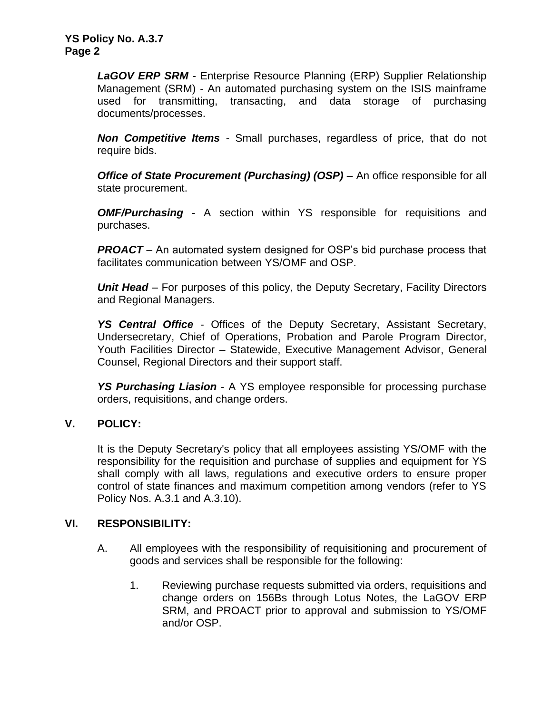*LaGOV ERP SRM* - Enterprise Resource Planning (ERP) Supplier Relationship Management (SRM) - An automated purchasing system on the ISIS mainframe used for transmitting, transacting, and data storage of purchasing documents/processes.

*Non Competitive Items* - Small purchases, regardless of price, that do not require bids.

*Office of State Procurement (Purchasing) (OSP)* – An office responsible for all state procurement.

*OMF/Purchasing* - A section within YS responsible for requisitions and purchases.

**PROACT** – An automated system designed for OSP's bid purchase process that facilitates communication between YS/OMF and OSP.

*Unit Head* – For purposes of this policy, the Deputy Secretary, Facility Directors and Regional Managers.

*YS Central Office* - Offices of the Deputy Secretary, Assistant Secretary, Undersecretary, Chief of Operations, Probation and Parole Program Director, Youth Facilities Director – Statewide, Executive Management Advisor, General Counsel, Regional Directors and their support staff.

*YS Purchasing Liasion* - A YS employee responsible for processing purchase orders, requisitions, and change orders.

### **V. POLICY:**

It is the Deputy Secretary's policy that all employees assisting YS/OMF with the responsibility for the requisition and purchase of supplies and equipment for YS shall comply with all laws, regulations and executive orders to ensure proper control of state finances and maximum competition among vendors (refer to YS Policy Nos. A.3.1 and A.3.10).

### **VI. RESPONSIBILITY:**

- A. All employees with the responsibility of requisitioning and procurement of goods and services shall be responsible for the following:
	- 1. Reviewing purchase requests submitted via orders, requisitions and change orders on 156Bs through Lotus Notes, the LaGOV ERP SRM, and PROACT prior to approval and submission to YS/OMF and/or OSP.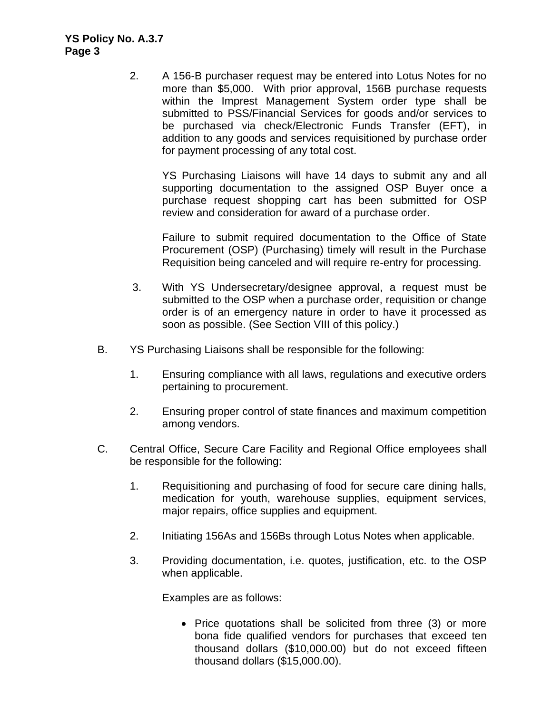2. A 156-B purchaser request may be entered into Lotus Notes for no more than \$5,000. With prior approval, 156B purchase requests within the Imprest Management System order type shall be submitted to PSS/Financial Services for goods and/or services to be purchased via check/Electronic Funds Transfer (EFT), in addition to any goods and services requisitioned by purchase order for payment processing of any total cost.

YS Purchasing Liaisons will have 14 days to submit any and all supporting documentation to the assigned OSP Buyer once a purchase request shopping cart has been submitted for OSP review and consideration for award of a purchase order.

Failure to submit required documentation to the Office of State Procurement (OSP) (Purchasing) timely will result in the Purchase Requisition being canceled and will require re-entry for processing.

- 3. With YS Undersecretary/designee approval, a request must be submitted to the OSP when a purchase order, requisition or change order is of an emergency nature in order to have it processed as soon as possible. (See Section VIII of this policy.)
- B. YS Purchasing Liaisons shall be responsible for the following:
	- 1. Ensuring compliance with all laws, regulations and executive orders pertaining to procurement.
	- 2. Ensuring proper control of state finances and maximum competition among vendors.
- C. Central Office, Secure Care Facility and Regional Office employees shall be responsible for the following:
	- 1. Requisitioning and purchasing of food for secure care dining halls, medication for youth, warehouse supplies, equipment services, major repairs, office supplies and equipment.
	- 2. Initiating 156As and 156Bs through Lotus Notes when applicable.
	- 3. Providing documentation, i.e. quotes, justification, etc. to the OSP when applicable.

Examples are as follows:

• Price quotations shall be solicited from three (3) or more bona fide qualified vendors for purchases that exceed ten thousand dollars (\$10,000.00) but do not exceed fifteen thousand dollars (\$15,000.00).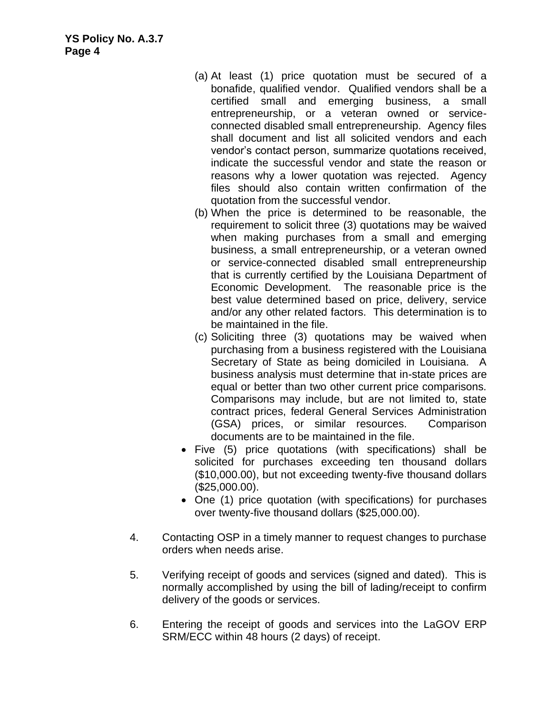- (a) At least (1) price quotation must be secured of a bonafide, qualified vendor. Qualified vendors shall be a certified small and emerging business, a small entrepreneurship, or a veteran owned or serviceconnected disabled small entrepreneurship. Agency files shall document and list all solicited vendors and each vendor's contact person, summarize quotations received, indicate the successful vendor and state the reason or reasons why a lower quotation was rejected. Agency files should also contain written confirmation of the quotation from the successful vendor.
- (b) When the price is determined to be reasonable, the requirement to solicit three (3) quotations may be waived when making purchases from a small and emerging business, a small entrepreneurship, or a veteran owned or service-connected disabled small entrepreneurship that is currently certified by the Louisiana Department of Economic Development. The reasonable price is the best value determined based on price, delivery, service and/or any other related factors. This determination is to be maintained in the file.
- (c) Soliciting three (3) quotations may be waived when purchasing from a business registered with the Louisiana Secretary of State as being domiciled in Louisiana. A business analysis must determine that in-state prices are equal or better than two other current price comparisons. Comparisons may include, but are not limited to, state contract prices, federal General Services Administration (GSA) prices, or similar resources. Comparison documents are to be maintained in the file.
- Five (5) price quotations (with specifications) shall be solicited for purchases exceeding ten thousand dollars (\$10,000.00), but not exceeding twenty-five thousand dollars (\$25,000.00).
- One (1) price quotation (with specifications) for purchases over twenty-five thousand dollars (\$25,000.00).
- 4. Contacting OSP in a timely manner to request changes to purchase orders when needs arise.
- 5. Verifying receipt of goods and services (signed and dated). This is normally accomplished by using the bill of lading/receipt to confirm delivery of the goods or services.
- 6. Entering the receipt of goods and services into the LaGOV ERP SRM/ECC within 48 hours (2 days) of receipt.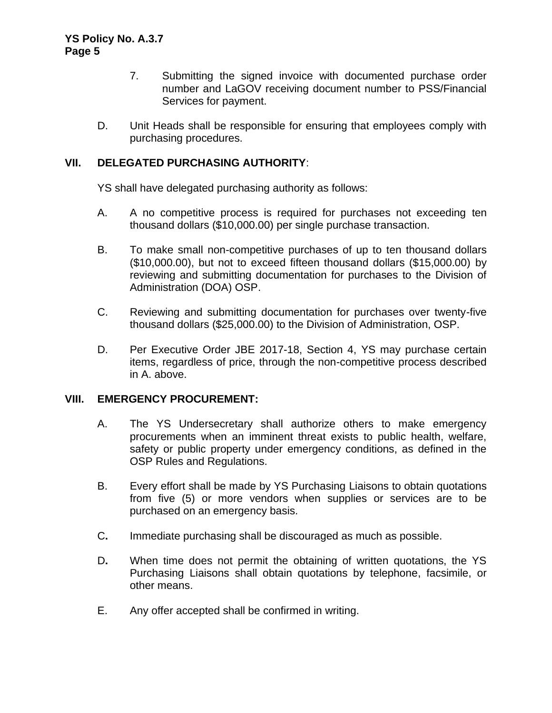- 7. Submitting the signed invoice with documented purchase order number and LaGOV receiving document number to PSS/Financial Services for payment.
- D. Unit Heads shall be responsible for ensuring that employees comply with purchasing procedures.

## **VII. DELEGATED PURCHASING AUTHORITY**:

YS shall have delegated purchasing authority as follows:

- A. A no competitive process is required for purchases not exceeding ten thousand dollars (\$10,000.00) per single purchase transaction.
- B. To make small non-competitive purchases of up to ten thousand dollars (\$10,000.00), but not to exceed fifteen thousand dollars (\$15,000.00) by reviewing and submitting documentation for purchases to the Division of Administration (DOA) OSP.
- C. Reviewing and submitting documentation for purchases over twenty-five thousand dollars (\$25,000.00) to the Division of Administration, OSP.
- D. Per Executive Order JBE 2017-18, Section 4, YS may purchase certain items, regardless of price, through the non-competitive process described in A. above.

### **VIII. EMERGENCY PROCUREMENT:**

- A. The YS Undersecretary shall authorize others to make emergency procurements when an imminent threat exists to public health, welfare, safety or public property under emergency conditions, as defined in the OSP Rules and Regulations.
- B. Every effort shall be made by YS Purchasing Liaisons to obtain quotations from five (5) or more vendors when supplies or services are to be purchased on an emergency basis.
- C**.** Immediate purchasing shall be discouraged as much as possible.
- D**.** When time does not permit the obtaining of written quotations, the YS Purchasing Liaisons shall obtain quotations by telephone, facsimile, or other means.
- E. Any offer accepted shall be confirmed in writing.